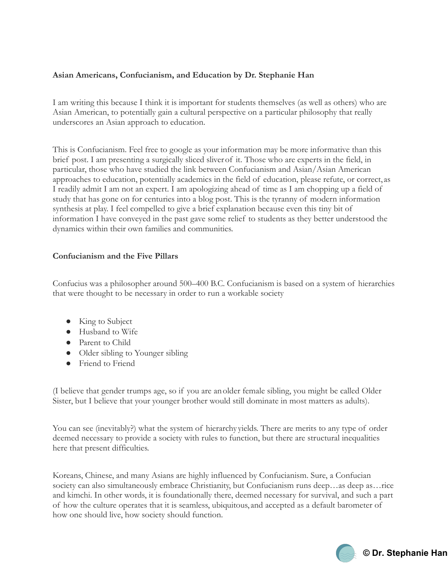# **Asian Americans, Confucianism, and Education by Dr. Stephanie Han**

I am writing this because I think it is important for students themselves (as well as others) who are Asian American, to potentially gain a cultural perspective on a particular philosophy that really underscores an Asian approach to education.

This is Confucianism. Feel free to google as your information may be more informative than this brief post. I am presenting a surgically sliced sliverof it. Those who are experts in the field, in particular, those who have studied the link between Confucianism and Asian/Asian American approaches to education, potentially academics in the field of education, please refute, or correct,as I readily admit I am not an expert. I am apologizing ahead of time as I am chopping up a field of study that has gone on for centuries into a blog post. This is the tyranny of modern information synthesis at play. I feel compelled to give a brief explanation because even this tiny bit of information I have conveyed in the past gave some relief to students as they better understood the dynamics within their own families and communities.

## **Confucianism and the Five Pillars**

Confucius was a philosopher around 500–400 B.C. Confucianism is based on a system of hierarchies that were thought to be necessary in order to run a workable society

- King to Subject
- Husband to Wife
- Parent to Child
- Older sibling to Younger sibling
- Friend to Friend

(I believe that gender trumps age, so if you are anolder female sibling, you might be called Older Sister, but I believe that your younger brother would still dominate in most matters as adults).

You can see (inevitably?) what the system of hierarchy yields. There are merits to any type of order deemed necessary to provide a society with rules to function, but there are structural inequalities here that present difficulties.

Koreans, Chinese, and many Asians are highly influenced by Confucianism. Sure, a Confucian society can also simultaneously embrace Christianity, but Confucianism runs deep...as deep as...rice and kimchi. In other words, it is foundationally there, deemed necessary for survival, and such a part of how the culture operates that it is seamless, ubiquitous,and accepted as a default barometer of how one should live, how society should function.

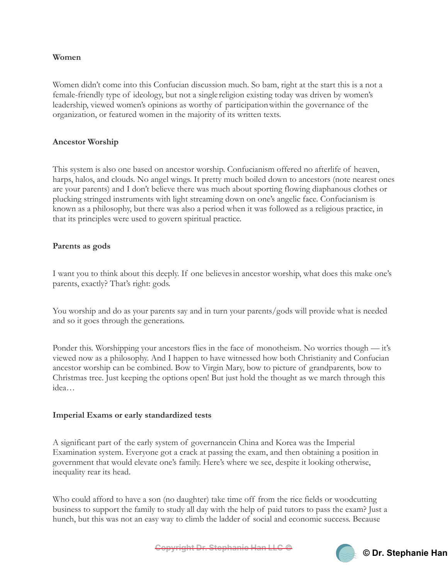### **Women**

Women didn't come into this Confucian discussion much. So bam, right at the start this is a not a female-friendly type of ideology, but not a singlereligion existing today was driven by women's leadership, viewed women's opinions as worthy of participationwithin the governance of the organization, or featured women in the majority of its written texts.

#### **Ancestor Worship**

This system is also one based on ancestor worship. Confucianism offered no afterlife of heaven, harps, halos, and clouds. No angel wings. It pretty much boiled down to ancestors (note nearest ones are your parents) and I don't believe there was much about sporting flowing diaphanous clothes or plucking stringed instruments with light streaming down on one's angelic face. Confucianism is known as a philosophy, but there was also a period when it was followed as a religious practice, in that its principles were used to govern spiritual practice.

### **Parents as gods**

I want you to think about this deeply. If one believesin ancestor worship, what does this make one's parents, exactly? That's right: gods.

You worship and do as your parents say and in turn your parents/gods will provide what is needed and so it goes through the generations.

Ponder this. Worshipping your ancestors flies in the face of monotheism. No worries though — it's viewed now as a philosophy. And I happen to have witnessed how both Christianity and Confucian ancestor worship can be combined. Bow to Virgin Mary, bow to picture of grandparents, bow to Christmas tree. Just keeping the options open! But just hold the thought as we march through this idea…

#### **Imperial Exams or early standardized tests**

A significant part of the early system of governancein China and Korea was the Imperial Examination system. Everyone got a crack at passing the exam, and then obtaining a position in government that would elevate one's family. Here's where we see, despite it looking otherwise, inequality rear its head.

Who could afford to have a son (no daughter) take time off from the rice fields or woodcutting business to support the family to study all day with the help of paid tutors to pass the exam? Just a hunch, but this was not an easy way to climb the ladder of social and economic success. Because